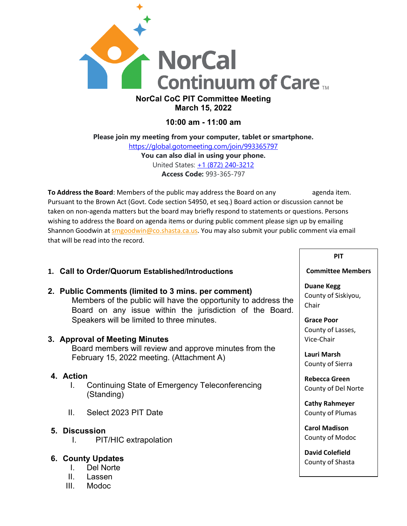

# **March 15, 2022**

## **10:00 am - 11:00 am**

**Please join my meeting from your computer, tablet or smartphone.** <https://global.gotomeeting.com/join/993365797> **You can also dial in using your phone.** United States: [+1 \(872\) 240-3212](tel:+18722403212,,993365797) **Access Code:** 993-365-797

**To Address the Board**: Members of the public may address the Board on any agenda item. Pursuant to the Brown Act (Govt. Code section 54950, et seq.) Board action or discussion cannot be taken on non-agenda matters but the board may briefly respond to statements or questions. Persons wishing to address the Board on agenda items or during public comment please sign up by emailing Shannon Goodwin at [smgoodwin@co.shasta.ca.us.](mailto:smgoodwin@co.shasta.ca.us) You may also submit your public comment via email that will be read into the record.

## **1. Call to Order/Quorum Established/Introductions**

## **2. Public Comments (limited to 3 mins. per comment)**

Members of the public will have the opportunity to address the Board on any issue within the jurisdiction of the Board. Speakers will be limited to three minutes.

## **3. Approval of Meeting Minutes**

Board members will review and approve minutes from the February 15, 2022 meeting. (Attachment A)

## **4. Action**

- I. Continuing State of Emergency Teleconferencing (Standing)
- II. Select 2023 PIT Date

## **5. Discussion**

I. PIT/HIC extrapolation

## **6. County Updates**

- I. Del Norte
- II. Lassen
- III. Modoc

### **PIT**

#### **Committee Members**

**Duane Kegg** County of Siskiyou, Chair

**Grace Poor** County of Lasses, Vice-Chair

**Lauri Marsh** County of Sierra

**Rebecca Green** County of Del Norte

**Cathy Rahmeyer** County of Plumas

**Carol Madison** County of Modoc

**David Colefield** County of Shasta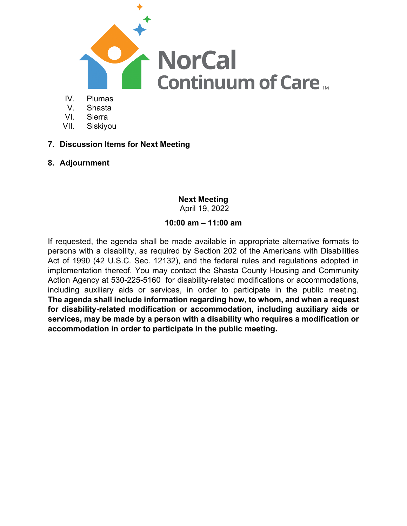

- 
- V. Shasta
- VI. Sierra
- VII. Siskiyou
- **7. Discussion Items for Next Meeting**
- **8. Adjournment**

## **Next Meeting**

April 19, 2022

## **10:00 am – 11:00 am**

If requested, the agenda shall be made available in appropriate alternative formats to persons with a disability, as required by Section 202 of the Americans with Disabilities Act of 1990 (42 U.S.C. Sec. 12132), and the federal rules and regulations adopted in implementation thereof. You may contact the Shasta County Housing and Community Action Agency at 530-225-5160 for disability-related modifications or accommodations, including auxiliary aids or services, in order to participate in the public meeting. **The agenda shall include information regarding how, to whom, and when a request for disability-related modification or accommodation, including auxiliary aids or services, may be made by a person with a disability who requires a modification or accommodation in order to participate in the public meeting.**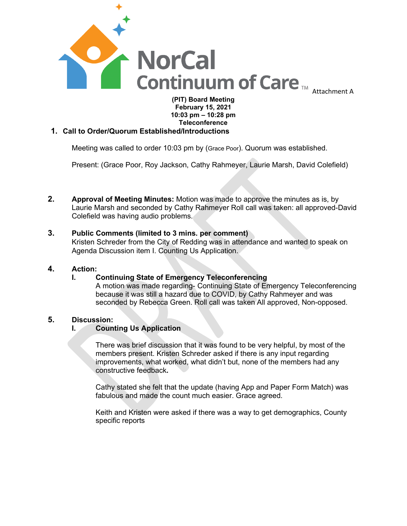

### **(PIT) Board Meeting February 15, 2021 10:03 pm – 10:28 pm Teleconference**

### **1. Call to Order/Quorum Established/Introductions**

Meeting was called to order 10:03 pm by (Grace Poor). Quorum was established.

Present: (Grace Poor, Roy Jackson, Cathy Rahmeyer, Laurie Marsh, David Colefield)

**2. Approval of Meeting Minutes:** Motion was made to approve the minutes as is, by Laurie Marsh and seconded by Cathy Rahmeyer Roll call was taken: all approved-David Colefield was having audio problems.

#### **3. Public Comments (limited to 3 mins. per comment)**

Kristen Schreder from the City of Redding was in attendance and wanted to speak on Agenda Discussion item I. Counting Us Application.

## **4. Action:**

#### **I. Continuing State of Emergency Teleconferencing**

A motion was made regarding- Continuing State of Emergency Teleconferencing because it was still a hazard due to COVID, by Cathy Rahmeyer and was seconded by Rebecca Green. Roll call was taken All approved, Non-opposed.

#### **5. Discussion:**

#### **I. Counting Us Application**

There was brief discussion that it was found to be very helpful, by most of the members present. Kristen Schreder asked if there is any input regarding improvements, what worked, what didn't but, none of the members had any constructive feedback**.**

Cathy stated she felt that the update (having App and Paper Form Match) was fabulous and made the count much easier. Grace agreed.

Keith and Kristen were asked if there was a way to get demographics, County specific reports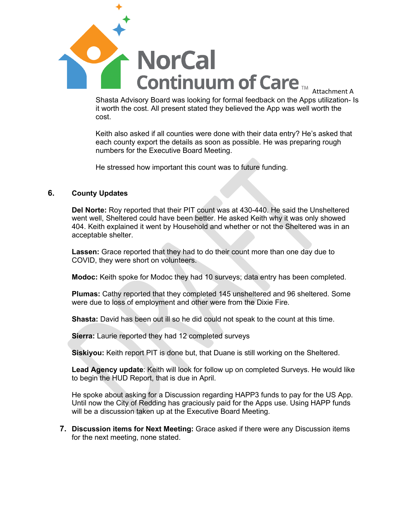

Shasta Advisory Board was looking for formal feedback on the Apps utilization- Is it worth the cost. All present stated they believed the App was well worth the cost.

Keith also asked if all counties were done with their data entry? He's asked that each county export the details as soon as possible. He was preparing rough numbers for the Executive Board Meeting.

He stressed how important this count was to future funding.

### **6. County Updates**

**Del Norte:** Roy reported that their PIT count was at 430-440. He said the Unsheltered went well, Sheltered could have been better. He asked Keith why it was only showed 404. Keith explained it went by Household and whether or not the Sheltered was in an acceptable shelter.

**Lassen:** Grace reported that they had to do their count more than one day due to COVID, they were short on volunteers.

**Modoc:** Keith spoke for Modoc they had 10 surveys; data entry has been completed.

**Plumas:** Cathy reported that they completed 145 unsheltered and 96 sheltered. Some were due to loss of employment and other were from the Dixie Fire.

**Shasta:** David has been out ill so he did could not speak to the count at this time.

**Sierra:** Laurie reported they had 12 completed surveys

**Siskiyou:** Keith report PIT is done but, that Duane is still working on the Sheltered.

**Lead Agency update**: Keith will look for follow up on completed Surveys. He would like to begin the HUD Report, that is due in April.

He spoke about asking for a Discussion regarding HAPP3 funds to pay for the US App. Until now the City of Redding has graciously paid for the Apps use. Using HAPP funds will be a discussion taken up at the Executive Board Meeting.

**7. Discussion items for Next Meeting:** Grace asked if there were any Discussion items for the next meeting, none stated.